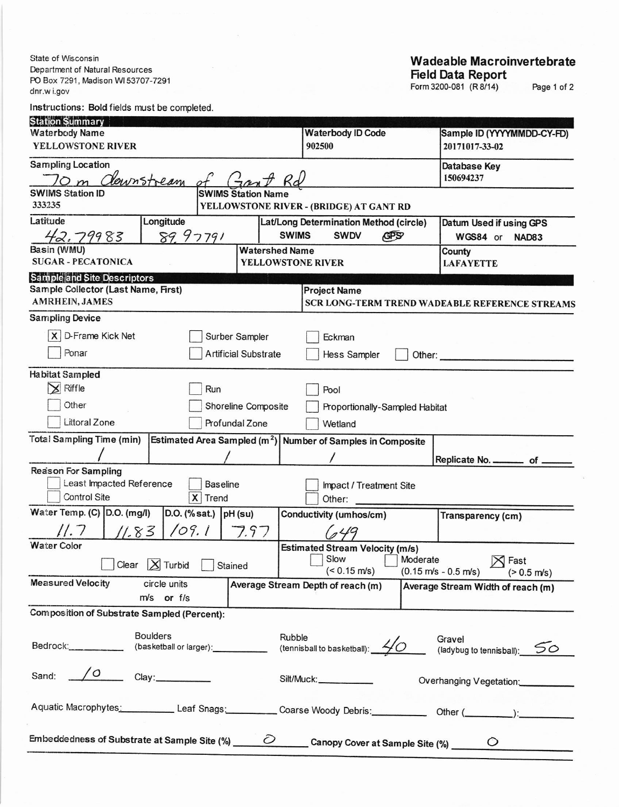State of Wisconsin Department of Natural Resources PO Box 7291, Madison WI 53707-7291 dnr.w i.gov

## Instructions: Bold fields must be completed.

## **Wadeable Macroinvertebrate** Field Data Report

Page 1 of 2

| <b>Station Summary</b>                                                                                         |                                                            |                                                               |  |  |  |
|----------------------------------------------------------------------------------------------------------------|------------------------------------------------------------|---------------------------------------------------------------|--|--|--|
| <b>Waterbody Name</b>                                                                                          | <b>Waterbody ID Code</b>                                   | Sample ID (YYYYMMDD-CY-FD)                                    |  |  |  |
| YELLOWSTONE RIVER                                                                                              | 902500                                                     | 20171017-33-02                                                |  |  |  |
| <b>Sampling Location</b>                                                                                       |                                                            | Database Key                                                  |  |  |  |
| downstream                                                                                                     | 150694237                                                  |                                                               |  |  |  |
| <b>SWIMS Station ID</b><br><b>SWIMS Station Name</b>                                                           |                                                            |                                                               |  |  |  |
| 333235                                                                                                         | YELLOWSTONE RIVER - (BRIDGE) AT GANT RD                    |                                                               |  |  |  |
| Latitude<br>Longitude<br>Lat/Long Determination Method (circle)<br>Datum Used if using GPS                     |                                                            |                                                               |  |  |  |
| 42.79983<br>89.97791<br><b>SWIMS</b>                                                                           | <b>SWDV</b><br><b>GPS</b>                                  | WGS84 or NAD83                                                |  |  |  |
| Basin (WMU)<br><b>Watershed Name</b>                                                                           |                                                            | County                                                        |  |  |  |
| <b>SUGAR - PECATONICA</b><br><b>YELLOWSTONE RIVER</b>                                                          |                                                            | <b>LAFAYETTE</b>                                              |  |  |  |
| <b>Sample and Site Descriptors</b>                                                                             |                                                            |                                                               |  |  |  |
| Sample Collector (Last Name, First)                                                                            | <b>Project Name</b>                                        |                                                               |  |  |  |
| <b>AMRHEIN, JAMES</b>                                                                                          |                                                            | SCR LONG-TERM TREND WADEABLE REFERENCE STREAMS                |  |  |  |
| <b>Sampling Device</b>                                                                                         |                                                            |                                                               |  |  |  |
| $\mathsf{X}$<br><b>D-Frame Kick Net</b><br>Surber Sampler                                                      | Eckman                                                     |                                                               |  |  |  |
|                                                                                                                |                                                            |                                                               |  |  |  |
| Ponar<br><b>Artificial Substrate</b>                                                                           | Hess Sampler<br>Other:                                     |                                                               |  |  |  |
| <b>Habitat Sampled</b>                                                                                         |                                                            |                                                               |  |  |  |
| Riffle<br>$\mathsf{x}$<br>Run                                                                                  | Pool                                                       |                                                               |  |  |  |
| Other<br>Shoreline Composite                                                                                   |                                                            |                                                               |  |  |  |
| Proportionally-Sampled Habitat                                                                                 |                                                            |                                                               |  |  |  |
| Littoral Zone<br>Profundal Zone                                                                                | Wetland                                                    |                                                               |  |  |  |
| <b>Total Sampling Time (min)</b><br>Estimated Area Sampled ( $m2$ ) Number of Samples in Composite             |                                                            |                                                               |  |  |  |
|                                                                                                                |                                                            | Replicate No. ________ of _                                   |  |  |  |
| <b>Reason For Sampling</b>                                                                                     |                                                            |                                                               |  |  |  |
| Least Impacted Reference<br><b>Baseline</b><br>Impact / Treatment Site                                         |                                                            |                                                               |  |  |  |
| Control Site<br>X Trend                                                                                        | Other:                                                     |                                                               |  |  |  |
| Water Temp. (C) D.O. (mg/l)<br>$D.O.$ (% sat.) $pH$ (su)                                                       | Conductivity (umhos/cm)                                    | <b>Transparency (cm)</b>                                      |  |  |  |
| 11.7<br>109.1<br>7.97<br>11.83                                                                                 |                                                            |                                                               |  |  |  |
| <b>Water Color</b>                                                                                             |                                                            |                                                               |  |  |  |
|                                                                                                                | <b>Estimated Stream Velocity (m/s)</b><br>Slow<br>Moderate | $\boxtimes$ Fast                                              |  |  |  |
| $ \chi $ Turbid<br>Clear<br>Stained                                                                            | $($ < 0.15 m/s)                                            | $(0.15 \text{ m/s} - 0.5 \text{ m/s})$ $( > 0.5 \text{ m/s})$ |  |  |  |
| <b>Measured Velocity</b><br>circle units                                                                       | Average Stream Depth of reach (m)                          | Average Stream Width of reach (m)                             |  |  |  |
| m/s or f/s                                                                                                     |                                                            |                                                               |  |  |  |
| <b>Composition of Substrate Sampled (Percent):</b>                                                             |                                                            |                                                               |  |  |  |
|                                                                                                                |                                                            |                                                               |  |  |  |
| <b>Boulders</b><br>Rubble                                                                                      |                                                            | Gravel                                                        |  |  |  |
| Bedrock:___________<br>(basketball or larger):                                                                 | (tennisball to basketball): $40$                           | (ladybug to tennisball): 50                                   |  |  |  |
|                                                                                                                |                                                            |                                                               |  |  |  |
| Sand: $\sqrt{0}$ Clay:                                                                                         | Silt/Muck:                                                 | Overhanging Vegetation:                                       |  |  |  |
|                                                                                                                |                                                            |                                                               |  |  |  |
| Aquatic Macrophytes: Leaf Snags: Coarse Woody Debris: Other (Community: Coarse Woody Debris: Chern (Community: |                                                            |                                                               |  |  |  |
|                                                                                                                |                                                            |                                                               |  |  |  |
|                                                                                                                |                                                            |                                                               |  |  |  |
|                                                                                                                |                                                            |                                                               |  |  |  |